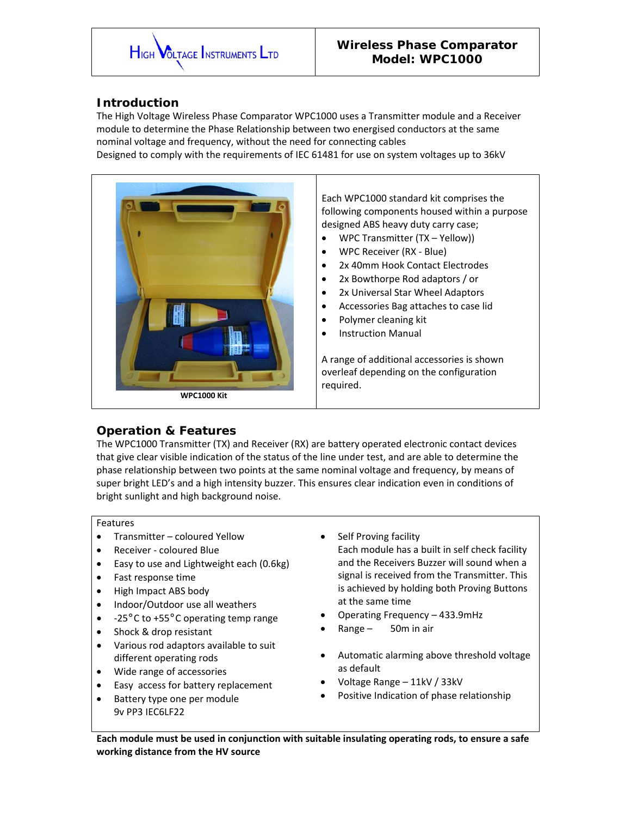

# **Introduction**

The High Voltage Wireless Phase Comparator WPC1000 uses a Transmitter module and a Receiver module to determine the Phase Relationship between two energised conductors at the same nominal voltage and frequency, without the need for connecting cables

Designed to comply with the requirements of IEC 61481 for use on system voltages up to 36kV



Each WPC1000 standard kit comprises the following components housed within a purpose designed ABS heavy duty carry case;

- WPC Transmitter (TX Yellow))
- WPC Receiver (RX Blue)
- 2x 40mm Hook Contact Electrodes
- 2x Bowthorpe Rod adaptors / or
- 2x Universal Star Wheel Adaptors
- Accessories Bag attaches to case lid
- Polymer cleaning kit
- Instruction Manual

A range of additional accessories is shown overleaf depending on the configuration required.

### **Operation & Features**

The WPC1000 Transmitter (TX) and Receiver (RX) are battery operated electronic contact devices that give clear visible indication of the status of the line under test, and are able to determine the phase relationship between two points at the same nominal voltage and frequency, by means of super bright LED's and a high intensity buzzer. This ensures clear indication even in conditions of bright sunlight and high background noise.

#### Features

- Transmitter coloured Yellow
- Receiver coloured Blue
- Easy to use and Lightweight each (0.6kg)
- Fast response time
- High Impact ABS body
- Indoor/Outdoor use all weathers
- -25°C to +55°C operating temp range
- Shock & drop resistant
- Various rod adaptors available to suit different operating rods
- Wide range of accessories
- Easy access for battery replacement
- Battery type one per module 9v PP3 IEC6LF22
- Self Proving facility
	- Each module has a built in self check facility and the Receivers Buzzer will sound when a signal is received from the Transmitter. This is achieved by holding both Proving Buttons at the same time
- Operating Frequency 433.9mHz
- $Range 50m$  in air
- Automatic alarming above threshold voltage as default
- Voltage Range 11kV / 33kV
- Positive Indication of phase relationship

**Each module must be used in conjunction with suitable insulating operating rods, to ensure a safe working distance from the HV source**